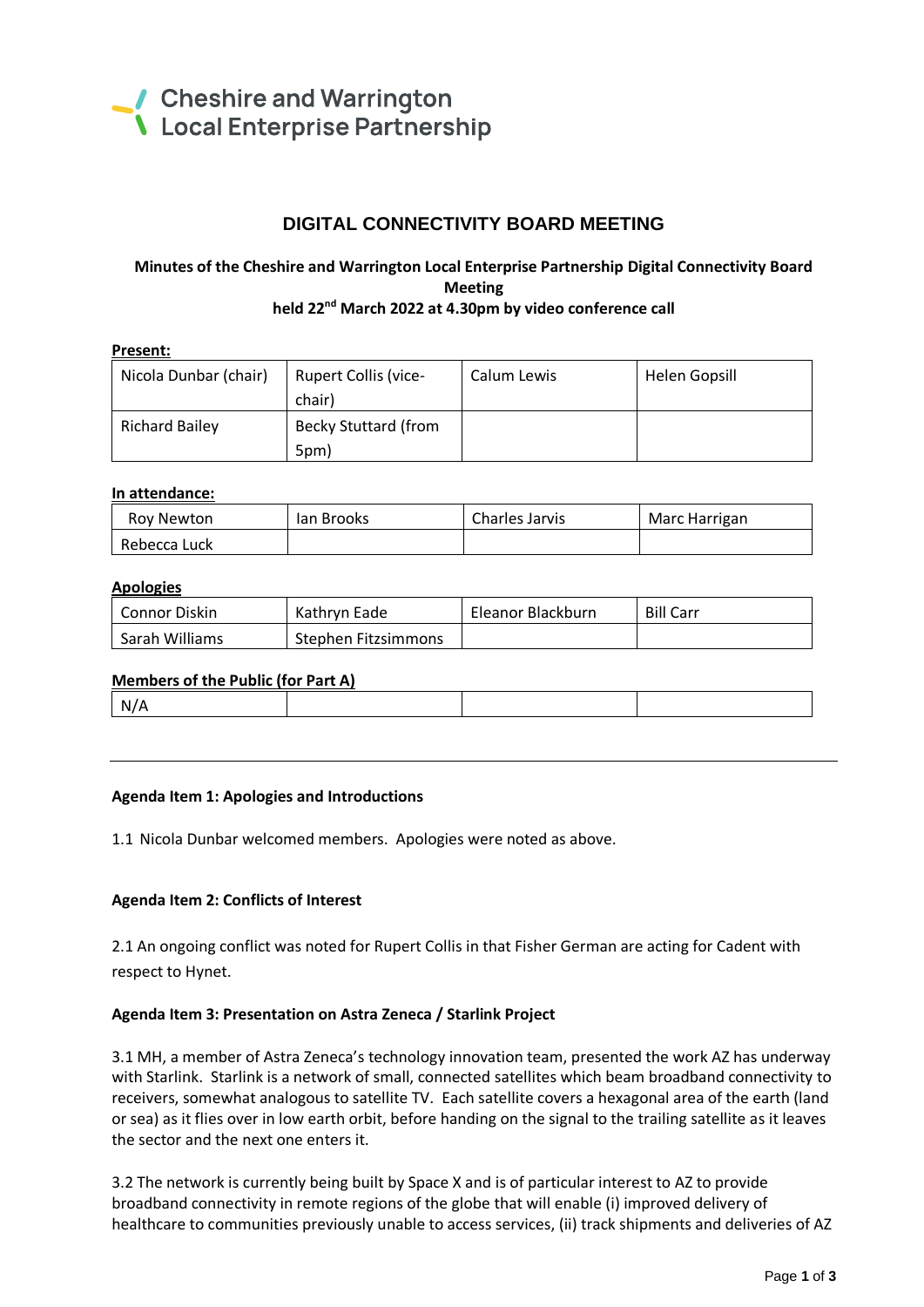

## **DIGITAL CONNECTIVITY BOARD MEETING**

# **Minutes of the Cheshire and Warrington Local Enterprise Partnership Digital Connectivity Board Meeting**

# **held 22nd March 2022 at 4.30pm by video conference call**

### **Present:**

| Nicola Dunbar (chair) | <b>Rupert Collis (vice-</b> | Calum Lewis | Helen Gopsill |
|-----------------------|-----------------------------|-------------|---------------|
|                       | chair)                      |             |               |
| <b>Richard Bailey</b> | <b>Becky Stuttard (from</b> |             |               |
|                       | 5pm)                        |             |               |

#### **In attendance:**

| Roy Newton   | lan Brooks | Charles Jarvis | Marc Harrigan |
|--------------|------------|----------------|---------------|
| Rebecca Luck |            |                |               |

#### **Apologies**

| Connor Diskin  | Kathrvn Eade        | Eleanor Blackburn | <b>Bill Carr</b> |
|----------------|---------------------|-------------------|------------------|
| Sarah Williams | Stephen Fitzsimmons |                   |                  |

#### **Members of the Public (for Part A)**

N/A

#### **Agenda Item 1: Apologies and Introductions**

1.1 Nicola Dunbar welcomed members. Apologies were noted as above.

#### **Agenda Item 2: Conflicts of Interest**

2.1 An ongoing conflict was noted for Rupert Collis in that Fisher German are acting for Cadent with respect to Hynet.

#### **Agenda Item 3: Presentation on Astra Zeneca / Starlink Project**

3.1 MH, a member of Astra Zeneca's technology innovation team, presented the work AZ has underway with Starlink. Starlink is a network of small, connected satellites which beam broadband connectivity to receivers, somewhat analogous to satellite TV. Each satellite covers a hexagonal area of the earth (land or sea) as it flies over in low earth orbit, before handing on the signal to the trailing satellite as it leaves the sector and the next one enters it.

3.2 The network is currently being built by Space X and is of particular interest to AZ to provide broadband connectivity in remote regions of the globe that will enable (i) improved delivery of healthcare to communities previously unable to access services, (ii) track shipments and deliveries of AZ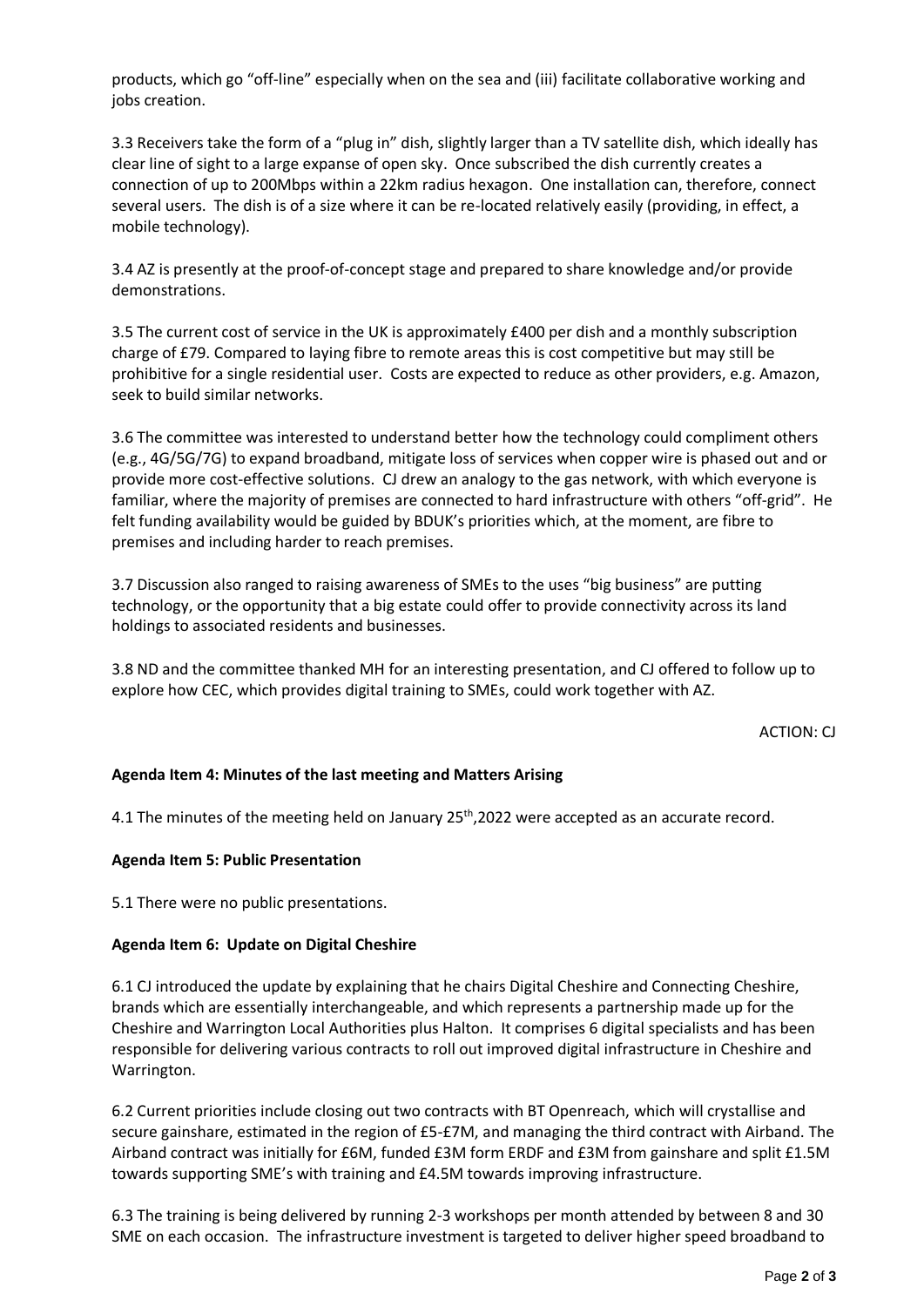products, which go "off-line" especially when on the sea and (iii) facilitate collaborative working and iobs creation.

3.3 Receivers take the form of a "plug in" dish, slightly larger than a TV satellite dish, which ideally has clear line of sight to a large expanse of open sky. Once subscribed the dish currently creates a connection of up to 200Mbps within a 22km radius hexagon. One installation can, therefore, connect several users. The dish is of a size where it can be re-located relatively easily (providing, in effect, a mobile technology).

3.4 AZ is presently at the proof-of-concept stage and prepared to share knowledge and/or provide demonstrations.

3.5 The current cost of service in the UK is approximately £400 per dish and a monthly subscription charge of £79. Compared to laying fibre to remote areas this is cost competitive but may still be prohibitive for a single residential user. Costs are expected to reduce as other providers, e.g. Amazon, seek to build similar networks.

3.6 The committee was interested to understand better how the technology could compliment others (e.g., 4G/5G/7G) to expand broadband, mitigate loss of services when copper wire is phased out and or provide more cost-effective solutions. CJ drew an analogy to the gas network, with which everyone is familiar, where the majority of premises are connected to hard infrastructure with others "off-grid". He felt funding availability would be guided by BDUK's priorities which, at the moment, are fibre to premises and including harder to reach premises.

3.7 Discussion also ranged to raising awareness of SMEs to the uses "big business" are putting technology, or the opportunity that a big estate could offer to provide connectivity across its land holdings to associated residents and businesses.

3.8 ND and the committee thanked MH for an interesting presentation, and CJ offered to follow up to explore how CEC, which provides digital training to SMEs, could work together with AZ.

ACTION: CJ

### **Agenda Item 4: Minutes of the last meeting and Matters Arising**

4.1 The minutes of the meeting held on January 25<sup>th</sup>, 2022 were accepted as an accurate record.

#### **Agenda Item 5: Public Presentation**

5.1 There were no public presentations.

#### **Agenda Item 6: Update on Digital Cheshire**

6.1 CJ introduced the update by explaining that he chairs Digital Cheshire and Connecting Cheshire, brands which are essentially interchangeable, and which represents a partnership made up for the Cheshire and Warrington Local Authorities plus Halton. It comprises 6 digital specialists and has been responsible for delivering various contracts to roll out improved digital infrastructure in Cheshire and Warrington.

6.2 Current priorities include closing out two contracts with BT Openreach, which will crystallise and secure gainshare, estimated in the region of £5-£7M, and managing the third contract with Airband. The Airband contract was initially for £6M, funded £3M form ERDF and £3M from gainshare and split £1.5M towards supporting SME's with training and £4.5M towards improving infrastructure.

6.3 The training is being delivered by running 2-3 workshops per month attended by between 8 and 30 SME on each occasion. The infrastructure investment is targeted to deliver higher speed broadband to